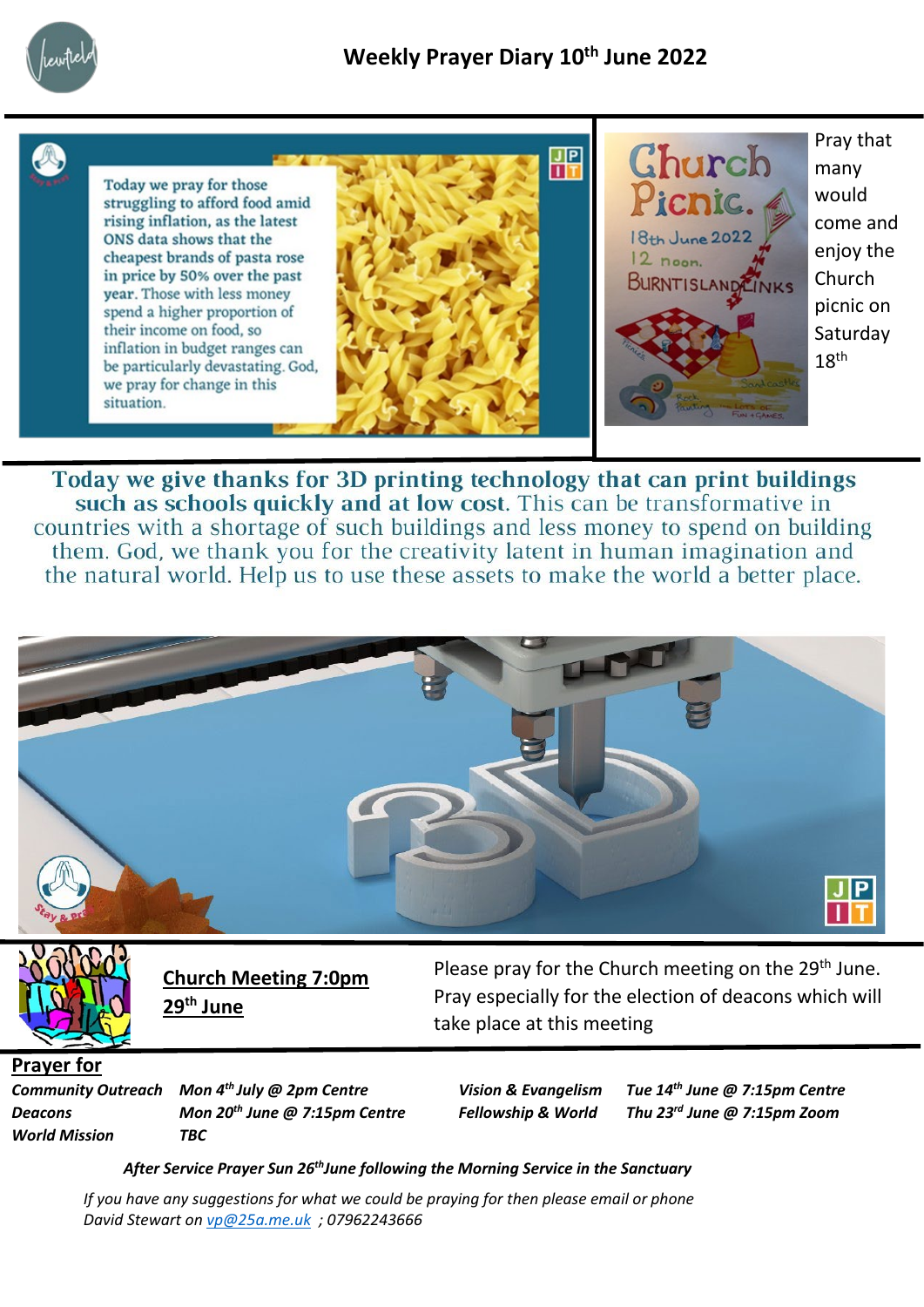





Today we give thanks for 3D printing technology that can print buildings such as schools quickly and at low cost. This can be transformative in countries with a shortage of such buildings and less money to spend on building them. God, we thank you for the creativity latent in human imagination and the natural world. Help us to use these assets to make the world a better place.





**Church Meeting 7:0pm 29th June**

Please pray for the Church meeting on the 29<sup>th</sup> June. Pray especially for the election of deacons which will take place at this meeting

**Prayer for**

*World Mission TBC*

*Community Outreach Mon 4th July @ 2pm Centre Vision & Evangelism Tue 14th June @ 7:15pm Centre Deacons Mon 20th June @ 7:15pm Centre Fellowship & World Thu 23rd June @ 7:15pm Zoom*

*After Service Prayer Sun 26thJune following the Morning Service in the Sanctuary*

*If you have any suggestions for what we could be praying for then please email or phone David Stewart on [vp@25a.me.uk](mailto:vp@25a.me.uk) ; 07962243666*